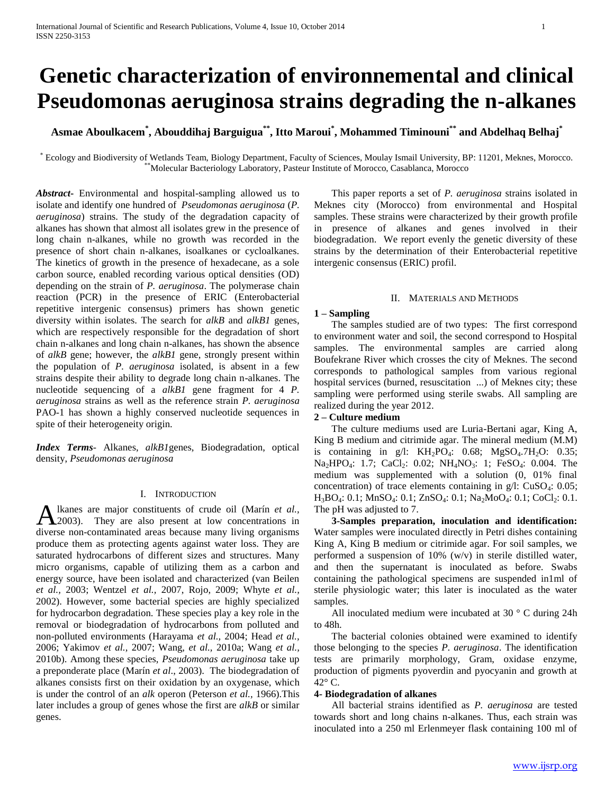# **Genetic characterization of environnemental and clinical Pseudomonas aeruginosa strains degrading the n-alkanes**

**Asmae Aboulkacem\* , Abouddihaj Barguigua\*\*, Itto Maroui\* , Mohammed Timinouni\*\* and Abdelhaq Belhaj\***

\* Ecology and Biodiversity of Wetlands Team, Biology Department, Faculty of Sciences, Moulay Ismail University, BP: 11201, Meknes, Morocco. \*\*Molecular Bacteriology Laboratory, Pasteur Institute of Morocco, Casablanca, Morocco

*Abstract***-** Environmental and hospital-sampling allowed us to isolate and identify one hundred of *Pseudomonas aeruginosa* (*P. aeruginosa*) strains. The study of the degradation capacity of alkanes has shown that almost all isolates grew in the presence of long chain n-alkanes, while no growth was recorded in the presence of short chain n-alkanes, isoalkanes or cycloalkanes. The kinetics of growth in the presence of hexadecane, as a sole carbon source, enabled recording various optical densities (OD) depending on the strain of *P. aeruginosa*. The polymerase chain reaction (PCR) in the presence of ERIC (Enterobacterial repetitive intergenic consensus) primers has shown genetic diversity within isolates. The search for *alkB* and *alkB1* genes, which are respectively responsible for the degradation of short chain n-alkanes and long chain n-alkanes, has shown the absence of *alkB* gene; however, the *alkB1* gene, strongly present within the population of *P. aeruginosa* isolated, is absent in a few strains despite their ability to degrade long chain n-alkanes. The nucleotide sequencing of a *alkB1* gene fragment for 4 *P. aeruginosa* strains as well as the reference strain *P. aeruginosa* PAO-1 has shown a highly conserved nucleotide sequences in spite of their heterogeneity origin.

*Index Terms*- Alkanes, *alkB1*genes, Biodegradation, optical density, *Pseudomonas aeruginosa*

# I. INTRODUCTION

lkanes are major constituents of crude oil (Marín *et al.,* Alkanes are major constituents of crude oil (Marín et al., 2003). They are also present at low concentrations in diverse non-contaminated areas because many living organisms produce them as protecting agents against water loss. They are saturated hydrocarbons of different sizes and structures. Many micro organisms, capable of utilizing them as a carbon and energy source, have been isolated and characterized (van Beilen *et al.,* 2003; Wentzel *et al.,* 2007, Rojo, 2009; Whyte *et al.,* 2002). However, some bacterial species are highly specialized for hydrocarbon degradation. These species play a key role in the removal or biodegradation of hydrocarbons from polluted and non-polluted environments (Harayama *et al.,* 2004; Head *et al.,* 2006; Yakimov *et al.,* 2007; Wang, *et al.,* 2010a; Wang *et al.,* 2010b). Among these species, *Pseudomonas aeruginosa* take up a preponderate place (Marín *et al*., 2003). The biodegradation of alkanes consists first on their oxidation by an oxygenase, which is under the control of an *alk* operon (Peterson *et al.,* 1966).This later includes a group of genes whose the first are *alkB* or similar genes.

 This paper reports a set of *P. aeruginosa* strains isolated in Meknes city (Morocco) from environmental and Hospital samples. These strains were characterized by their growth profile in presence of alkanes and genes involved in their biodegradation. We report evenly the genetic diversity of these strains by the determination of their Enterobacterial repetitive intergenic consensus (ERIC) profil.

#### II. MATERIALS AND METHODS

# **1 – Sampling**

 The samples studied are of two types: The first correspond to environment water and soil, the second correspond to Hospital samples. The environmental samples are carried along Boufekrane River which crosses the city of Meknes. The second corresponds to pathological samples from various regional hospital services (burned, resuscitation ...) of Meknes city; these sampling were performed using sterile swabs. All sampling are realized during the year 2012.

#### **2 – Culture medium**

 The culture mediums used are Luria-Bertani agar, King A, King B medium and citrimide agar. The mineral medium (M.M) is containing in g/l:  $KH_2PO_4$ : 0.68;  $MgSO_4$ .7H<sub>2</sub>O: 0.35; Na<sub>2</sub>HPO<sub>4</sub>: 1.7; CaCl<sub>2</sub>: 0.02; NH<sub>4</sub>NO<sub>3</sub>: 1; FeSO<sub>4</sub>: 0.004. The medium was supplemented with a solution (0, 01% final concentration) of trace elements containing in  $g/l$ : CuSO<sub>4</sub>: 0.05; H<sub>3</sub>BO<sub>4</sub>: 0.1; MnSO<sub>4</sub>: 0.1; ZnSO<sub>4</sub>: 0.1; Na<sub>2</sub>MoO<sub>4</sub>: 0.1; CoCl<sub>2</sub>: 0.1. The pH was adjusted to 7.

 **3-Samples preparation, inoculation and identification:** Water samples were inoculated directly in Petri dishes containing King A, King B medium or citrimide agar. For soil samples, we performed a suspension of 10% (w/v) in sterile distilled water, and then the supernatant is inoculated as before. Swabs containing the pathological specimens are suspended in1ml of sterile physiologic water; this later is inoculated as the water samples.

 All inoculated medium were incubated at 30 ° C during 24h to 48h.

 The bacterial colonies obtained were examined to identify those belonging to the species *P. aeruginosa*. The identification tests are primarily morphology, Gram, oxidase enzyme, production of pigments pyoverdin and pyocyanin and growth at  $42^{\circ}$  C.

#### **4- Biodegradation of alkanes**

 All bacterial strains identified as *P. aeruginosa* are tested towards short and long chains n-alkanes. Thus, each strain was inoculated into a 250 ml Erlenmeyer flask containing 100 ml of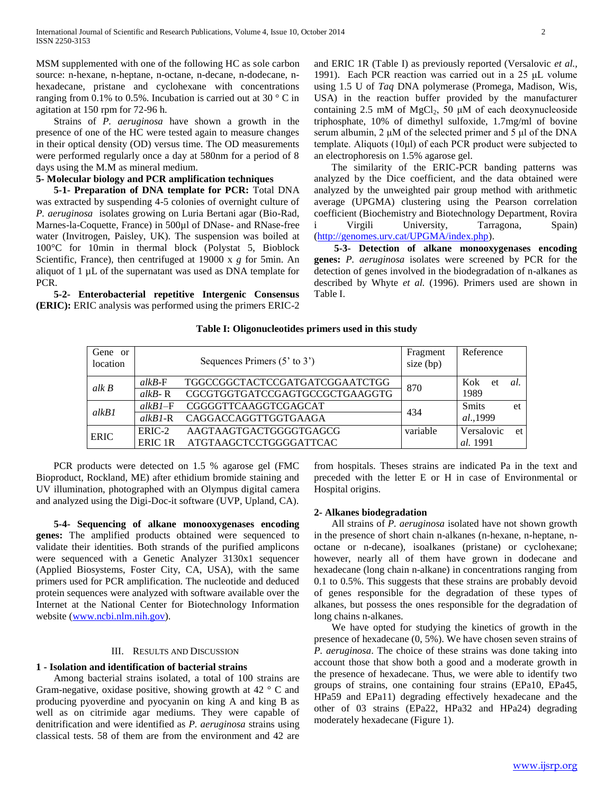MSM supplemented with one of the following HC as sole carbon source: n-hexane, n-heptane, n-octane, n-decane, n-dodecane, nhexadecane, pristane and cyclohexane with concentrations ranging from 0.1% to 0.5%. Incubation is carried out at 30 ° C in agitation at 150 rpm for 72-96 h.

 Strains of *P. aeruginosa* have shown a growth in the presence of one of the HC were tested again to measure changes in their optical density (OD) versus time. The OD measurements were performed regularly once a day at 580nm for a period of 8 days using the M.M as mineral medium.

# **5- Molecular biology and PCR amplification techniques**

 **5-1- Preparation of DNA template for PCR:** Total DNA was extracted by suspending 4-5 colonies of overnight culture of *P. aeruginosa* isolates growing on Luria Bertani agar (Bio-Rad, Marnes-la-Coquette, France) in 500µl of DNase- and RNase-free water (Invitrogen, Paisley, UK). The suspension was boiled at 100°C for 10min in thermal block (Polystat 5, Bioblock Scientific, France), then centrifuged at 19000 x *g* for 5min. An aliquot of 1 µL of the supernatant was used as DNA template for PCR.

 **5-2- Enterobacterial repetitive Intergenic Consensus (ERIC):** ERIC analysis was performed using the primers ERIC-2

and ERIC 1R (Table I) as previously reported (Versalovic *et al.,* 1991). Each PCR reaction was carried out in a 25 μL volume using 1.5 U of *Taq* DNA polymerase (Promega, Madison, Wis, USA) in the reaction buffer provided by the manufacturer containing 2.5 mM of  $MgCl<sub>2</sub>$ , 50  $\mu$ M of each deoxynucleoside triphosphate, 10% of dimethyl sulfoxide, 1.7mg/ml of bovine serum albumin, 2 μM of the selected primer and 5 μl of the DNA template. Aliquots (10μl) of each PCR product were subjected to an electrophoresis on 1.5% agarose gel.

 The similarity of the ERIC-PCR banding patterns was analyzed by the Dice coefficient, and the data obtained were analyzed by the unweighted pair group method with arithmetic average (UPGMA) clustering using the Pearson correlation coefficient (Biochemistry and Biotechnology Department, Rovira Virgili University, Tarragona, Spain) [\(http://genomes.urv.cat/UPGMA/index.php\)](http://genomes.urv.cat/UPGMA/index.php).

 **5-3- Detection of alkane monooxygenases encoding genes:** *P. aeruginosa* isolates were screened by PCR for the detection of genes involved in the biodegradation of n-alkanes as described by Whyte *et al.* (1996). Primers used are shown in Table I.

### **Table I: Oligonucleotides primers used in this study**

| Gene or<br>location |           | Sequences Primers $(5'$ to $3')$ | Fragment<br>size $(bp)$ | Reference    |     |
|---------------------|-----------|----------------------------------|-------------------------|--------------|-----|
| alk B               | $alkB-F$  | TGGCCGGCTACTCCGATGATCGGAATCTGG   | 870                     | Kok<br>et    | -al |
|                     | $alkB-R$  | CGCGTGGTGATCCGAGTGCCGCTGAAGGTG   |                         | 1989         |     |
| alkB1               | $alkB1-F$ | CGGGGTTCAAGGTCGAGCAT             | 434                     | <b>Smits</b> | et  |
|                     | $alkB1-R$ | CAGGACCAGGTTGGTGAAGA             |                         | al.,1999     |     |
| <b>ERIC</b>         | $ERIC-2$  | AAGTAAGTGACTGGGGTGAGCG           | variable                | Versalovic   | et  |
|                     |           | ERIC 1R ATGTAAGCTCCTGGGGATTCAC   |                         | al. 1991     |     |

 PCR products were detected on 1.5 % agarose gel (FMC Bioproduct, Rockland, ME) after ethidium bromide staining and UV illumination, photographed with an Olympus digital camera and analyzed using the Digi-Doc-it software (UVP, Upland, CA).

 **5-4- Sequencing of alkane monooxygenases encoding genes:** The amplified products obtained were sequenced to validate their identities. Both strands of the purified amplicons were sequenced with a Genetic Analyzer 3130x1 sequencer (Applied Biosystems, Foster City, CA, USA), with the same primers used for PCR amplification. The nucleotide and deduced protein sequences were analyzed with software available over the Internet at the National Center for Biotechnology Information website [\(www.ncbi.nlm.nih.gov\)](http://www.ncbi.nlm.nih.gov/).

#### III. RESULTS AND DISCUSSION

## **1 - Isolation and identification of bacterial strains**

 Among bacterial strains isolated, a total of 100 strains are Gram-negative, oxidase positive, showing growth at 42 ° C and producing pyoverdine and pyocyanin on king A and king B as well as on citrimide agar mediums. They were capable of denitrification and were identified as *P. aeruginosa* strains using classical tests. 58 of them are from the environment and 42 are

from hospitals. Theses strains are indicated Pa in the text and preceded with the letter E or H in case of Environmental or Hospital origins.

## **2- Alkanes biodegradation**

 All strains of *P. aeruginosa* isolated have not shown growth in the presence of short chain n-alkanes (n-hexane, n-heptane, noctane or n-decane), isoalkanes (pristane) or cyclohexane; however, nearly all of them have grown in dodecane and hexadecane (long chain n-alkane) in concentrations ranging from 0.1 to 0.5%. This suggests that these strains are probably devoid of genes responsible for the degradation of these types of alkanes, but possess the ones responsible for the degradation of long chains n-alkanes.

 We have opted for studying the kinetics of growth in the presence of hexadecane (0, 5%). We have chosen seven strains of *P. aeruginosa*. The choice of these strains was done taking into account those that show both a good and a moderate growth in the presence of hexadecane. Thus, we were able to identify two groups of strains, one containing four strains (EPa10, EPa45, HPa59 and EPa11) degrading effectively hexadecane and the other of 03 strains (EPa22, HPa32 and HPa24) degrading moderately hexadecane (Figure 1).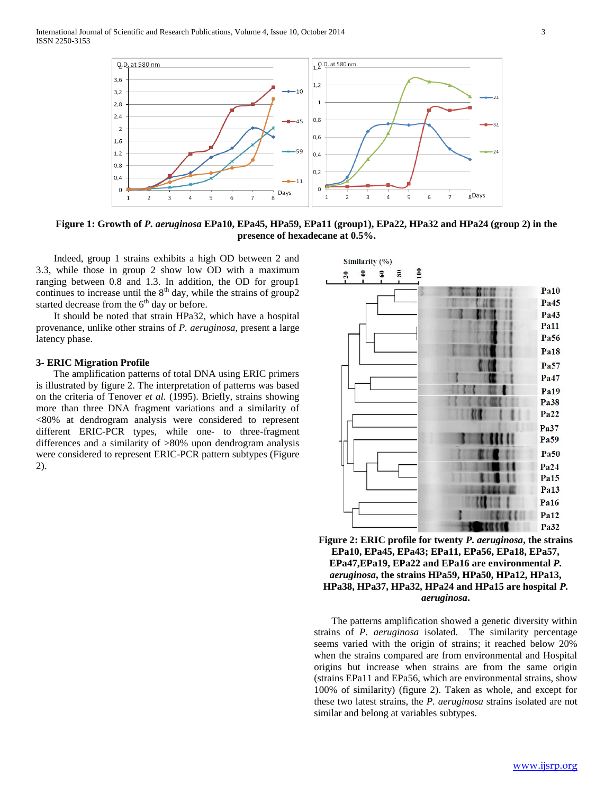

**Figure 1: Growth of** *P. aeruginosa* **EPa10, EPa45, HPa59, EPa11 (group1), EPa22, HPa32 and HPa24 (group 2) in the presence of hexadecane at 0.5%.**

 Indeed, group 1 strains exhibits a high OD between 2 and 3.3, while those in group 2 show low OD with a maximum ranging between 0.8 and 1.3. In addition, the OD for group1 continues to increase until the  $8<sup>th</sup>$  day, while the strains of group2 started decrease from the  $6<sup>th</sup>$  day or before.

 It should be noted that strain HPa32, which have a hospital provenance, unlike other strains of *P. aeruginosa,* present a large latency phase.

#### **3- ERIC Migration Profile**

 The amplification patterns of total DNA using ERIC primers is illustrated by figure 2. The interpretation of patterns was based on the criteria of Tenover *et al.* (1995). Briefly, strains showing more than three DNA fragment variations and a similarity of <80% at dendrogram analysis were considered to represent different ERIC-PCR types, while one- to three-fragment differences and a similarity of >80% upon dendrogram analysis were considered to represent ERIC-PCR pattern subtypes (Figure 2).





 The patterns amplification showed a genetic diversity within strains of *P. aeruginosa* isolated. The similarity percentage seems varied with the origin of strains; it reached below 20% when the strains compared are from environmental and Hospital origins but increase when strains are from the same origin (strains EPa11 and EPa56, which are environmental strains, show 100% of similarity) (figure 2). Taken as whole, and except for these two latest strains, the *P. aeruginosa* strains isolated are not similar and belong at variables subtypes.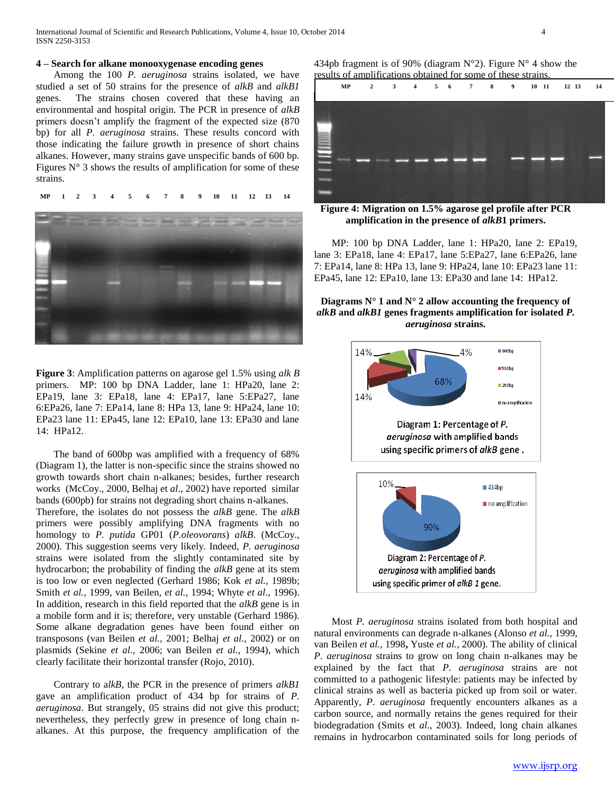# **4 – Search for alkane monooxygenase encoding genes**

 Among the 100 *P. aeruginosa* strains isolated, we have studied a set of 50 strains for the presence of *alkB* and *alkB1* genes. The strains chosen covered that these having an environmental and hospital origin. The PCR in presence of *alkB*  primers doesn't amplify the fragment of the expected size (870 bp) for all *P. aeruginosa* strains. These results concord with those indicating the failure growth in presence of short chains alkanes. However, many strains gave unspecific bands of 600 bp. Figures  $N^{\circ}$  3 shows the results of amplification for some of these strains.

 **MP 1 2 3 4 5 6 7 8 9 10 11 12 13 14**



**Figure 3**: Amplification patterns on agarose gel 1.5% using *alk B* primers. MP: 100 bp DNA Ladder, lane 1: HPa20, lane 2: EPa19, lane 3: EPa18, lane 4: EPa17, lane 5:EPa27, lane 6:EPa26, lane 7: EPa14, lane 8: HPa 13, lane 9: HPa24, lane 10: EPa23 lane 11: EPa45, lane 12: EPa10, lane 13: EPa30 and lane 14: HPa12.

 The band of 600bp was amplified with a frequency of 68% (Diagram 1), the latter is non-specific since the strains showed no growth towards short chain n-alkanes; besides, further research works (McCoy., 2000, Belhaj et *al*., 2002) have reported similar bands (600pb) for strains not degrading short chains n-alkanes.

Therefore, the isolates do not possess the *alkB* gene. The *alkB* primers were possibly amplifying DNA fragments with no homology to *P. putida* GP01 (*P.oleovorans*) *alkB*. (McCoy., 2000). This suggestion seems very likely. Indeed, *P. aeruginosa* strains were isolated from the slightly contaminated site by hydrocarbon; the probability of finding the *alkB* gene at its stem is too low or even neglected (Gerhard 1986; Kok *et al.,* 1989b; Smith *et al.,* 1999, van Beilen, *et al.,* 1994; Whyte *et al*., 1996). In addition, research in this field reported that the *alkB* gene is in a mobile form and it is; therefore, very unstable (Gerhard 1986). Some alkane degradation genes have been found either on transposons (van Beilen *et al.,* 2001; Belhaj *et al.,* 2002) or on plasmids (Sekine *et al.,* 2006; van Beilen *et al.,* 1994), which clearly facilitate their horizontal transfer (Rojo, 2010).

 Contrary to a*lkB*, the PCR in the presence of primers *alkB1*  gave an amplification product of 434 bp for strains of *P. aeruginosa*. But strangely, 05 strains did not give this product; nevertheless, they perfectly grew in presence of long chain nalkanes. At this purpose, the frequency amplification of the

434pb fragment is of 90% (diagram  $N^{\circ}$ 2). Figure  $N^{\circ}$  4 show the results of amplifications obtained for some of these strains.



**Figure 4: Migration on 1.5% agarose gel profile after PCR amplification in the presence of** *alkB***1 primers.**

 MP: 100 bp DNA Ladder, lane 1: HPa20, lane 2: EPa19, lane 3: EPa18, lane 4: EPa17, lane 5:EPa27, lane 6:EPa26, lane 7: EPa14, lane 8: HPa 13, lane 9: HPa24, lane 10: EPa23 lane 11: EPa45, lane 12: EPa10, lane 13: EPa30 and lane 14: HPa12.

**Diagrams**  $N^{\circ}$  **1 and**  $N^{\circ}$  **2 allow accounting the frequency of** *alkB* **and** *alkB1* **genes fragments amplification for isolated** *P. aeruginosa* **strains.**



 Most *P. aeruginosa* strains isolated from both hospital and natural environments can degrade n-alkanes (Alonso *et al.,* 1999, van Beilen *et al.,* 1998**,** Yuste *et al.,* 2000). The ability of clinical *P*. *aeruginosa* strains to grow on long chain n-alkanes may be explained by the fact that *P*. *aeruginosa* strains are not committed to a pathogenic lifestyle: patients may be infected by clinical strains as well as bacteria picked up from soil or water. Apparently, *P*. *aeruginosa* frequently encounters alkanes as a carbon source, and normally retains the genes required for their biodegradation (Smits et *al*., 2003). Indeed, long chain alkanes remains in hydrocarbon contaminated soils for long periods of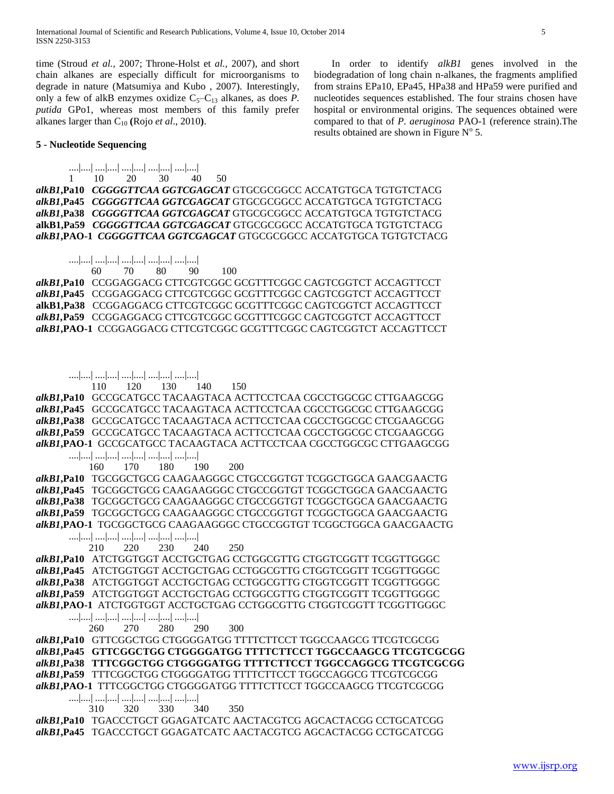time (Stroud *et al.,* 2007; Throne-Holst et *al.,* 2007), and short chain alkanes are especially difficult for microorganisms to degrade in nature (Matsumiya and Kubo , 2007). Interestingly, only a few of alkB enzymes oxidize  $C_5-C_{13}$  alkanes, as does *P*. *putida* GPo1, whereas most members of this family prefer alkanes larger than  $C_{10}$  (Rojo *et al.*, 2010).

 In order to identify *alkB1* genes involved in the biodegradation of long chain n-alkanes, the fragments amplified from strains EPa10, EPa45, HPa38 and HPa59 were purified and nucleotides sequences established. The four strains chosen have hospital or environmental origins. The sequences obtained were compared to that of *P. aeruginosa* PAO-1 (reference strain).The results obtained are shown in Figure  $N^{\circ}$  5.

# **5 - Nucleotide Sequencing**

 ....|....| ....|....| ....|....| ....|....| ....|....| 1 10 20 30 40 50

*alkB1***,Pa10** *CGGGGTTCAA GGTCGAGCAT* GTGCGCGGCC ACCATGTGCA TGTGTCTACG *alkB1***,Pa45** *CGGGGTTCAA GGTCGAGCAT* GTGCGCGGCC ACCATGTGCA TGTGTCTACG *alkB1***,Pa38** *CGGGGTTCAA GGTCGAGCAT* GTGCGCGGCC ACCATGTGCA TGTGTCTACG **alkB1,Pa59** *CGGGGTTCAA GGTCGAGCAT* GTGCGCGGCC ACCATGTGCA TGTGTCTACG *alkB1***,PAO-1** *CGGGGTTCAA GGTCGAGCAT* GTGCGCGGCC ACCATGTGCA TGTGTCTACG

## ....|....| ....|....| ....|....| ....|....| ....|....|

60 70 80 90 100

*alkB1***,Pa10** CCGGAGGACG CTTCGTCGGC GCGTTTCGGC CAGTCGGTCT ACCAGTTCCT *alkB1***,Pa45** CCGGAGGACG CTTCGTCGGC GCGTTTCGGC CAGTCGGTCT ACCAGTTCCT **alkB1,Pa38** CCGGAGGACG CTTCGTCGGC GCGTTTCGGC CAGTCGGTCT ACCAGTTCCT *alkB1,***Pa59** CCGGAGGACG CTTCGTCGGC GCGTTTCGGC CAGTCGGTCT ACCAGTTCCT *alkB1***,PAO-1** CCGGAGGACG CTTCGTCGGC GCGTTTCGGC CAGTCGGTCT ACCAGTTCCT

## ....|....| ....|....| ....|....| ....|....| ....|....|

110 120 130 140 150

*alkB1***,Pa10** GCCGCATGCC TACAAGTACA ACTTCCTCAA CGCCTGGCGC CTTGAAGCGG *alkB1***,Pa45** GCCGCATGCC TACAAGTACA ACTTCCTCAA CGCCTGGCGC CTTGAAGCGG *alkB1***,Pa38** GCCGCATGCC TACAAGTACA ACTTCCTCAA CGCCTGGCGC CTCGAAGCGG *alkB1***,Pa59** GCCGCATGCC TACAAGTACA ACTTCCTCAA CGCCTGGCGC CTCGAAGCGG *alkB1***,PAO-1** GCCGCATGCC TACAAGTACA ACTTCCTCAA CGCCTGGCGC CTTGAAGCGG ....|....| ....|....| ....|....| ....|....| ....|....| 160 170 180 190 200

*alkB1***,Pa10** TGCGGCTGCG CAAGAAGGGC CTGCCGGTGT TCGGCTGGCA GAACGAACTG *alkB1***,Pa45** TGCGGCTGCG CAAGAAGGGC CTGCCGGTGT TCGGCTGGCA GAACGAACTG *alkB1***,Pa38** TGCGGCTGCG CAAGAAGGGC CTGCCGGTGT TCGGCTGGCA GAACGAACTG *alkB1***,Pa59** TGCGGCTGCG CAAGAAGGGC CTGCCGGTGT TCGGCTGGCA GAACGAACTG *alkB1***,PAO-1** TGCGGCTGCG CAAGAAGGGC CTGCCGGTGT TCGGCTGGCA GAACGAACTG

 ....|....| ....|....| ....|....| ....|....| ....|....| 210 220 230 240 250

*alkB1***,Pa10** ATCTGGTGGT ACCTGCTGAG CCTGGCGTTG CTGGTCGGTT TCGGTTGGGC *alkB1***,Pa45** ATCTGGTGGT ACCTGCTGAG CCTGGCGTTG CTGGTCGGTT TCGGTTGGGC *alkB1***,Pa38** ATCTGGTGGT ACCTGCTGAG CCTGGCGTTG CTGGTCGGTT TCGGTTGGGC *alkB1***,Pa59** ATCTGGTGGT ACCTGCTGAG CCTGGCGTTG CTGGTCGGTT TCGGTTGGGC *alkB1***,PAO-1** ATCTGGTGGT ACCTGCTGAG CCTGGCGTTG CTGGTCGGTT TCGGTTGGGC ....|....| ....|....| ....|....| ....|....| ....|....|

260 270 280 290 300

*alkB1***,Pa10** GTTCGGCTGG CTGGGGATGG TTTTCTTCCT TGGCCAAGCG TTCGTCGCGG *alkB1***,Pa45 GTTCGGCTGG CTGGGGATGG TTTTCTTCCT TGGCCAAGCG TTCGTCGCGG**  *alkB1***,Pa38 TTTCGGCTGG CTGGGGATGG TTTTCTTCCT TGGCCAGGCG TTCGTCGCGG**  *alkB1***,Pa59** TTTCGGCTGG CTGGGGATGG TTTTCTTCCT TGGCCAGGCG TTCGTCGCGG *alkB1***,PAO-1** TTTCGGCTGG CTGGGGATGG TTTTCTTCCT TGGCCAAGCG TTCGTCGCGG ....|....| ....|....| ....|....| ....|....| ....|....| 310 320 330 340 350

*alkB1***,Pa10** TGACCCTGCT GGAGATCATC AACTACGTCG AGCACTACGG CCTGCATCGG *alkB1***,Pa45** TGACCCTGCT GGAGATCATC AACTACGTCG AGCACTACGG CCTGCATCGG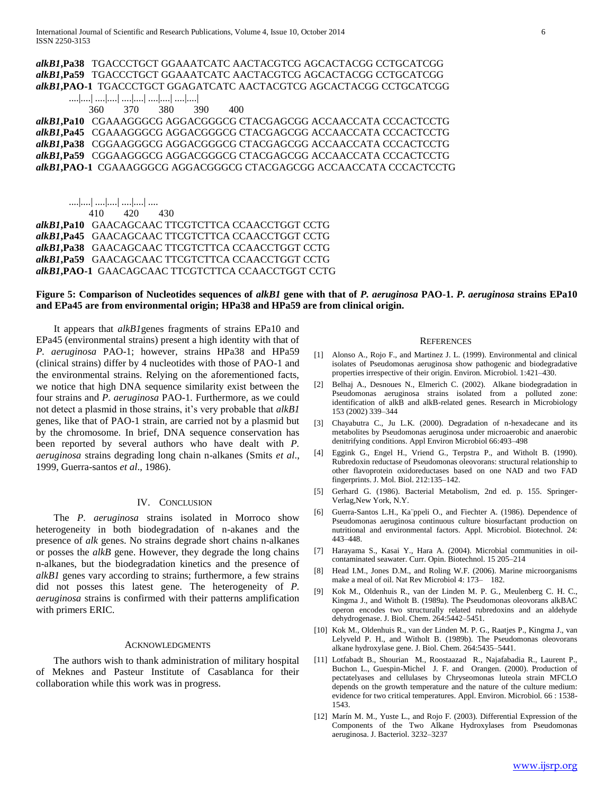# *alkB1***,Pa38** TGACCCTGCT GGAAATCATC AACTACGTCG AGCACTACGG CCTGCATCGG *alkB1***,Pa59** TGACCCTGCT GGAAATCATC AACTACGTCG AGCACTACGG CCTGCATCGG *alkB1***,PAO-1** TGACCCTGCT GGAGATCATC AACTACGTCG AGCACTACGG CCTGCATCGG

....|....| ....|....| ....|....| ....|....| ....|....|

360 370 380 390 400

*alkB1***,Pa10** CGAAAGGGCG AGGACGGGCG CTACGAGCGG ACCAACCATA CCCACTCCTG *alkB1***,Pa45** CGAAAGGGCG AGGACGGGCG CTACGAGCGG ACCAACCATA CCCACTCCTG *alkB1***,Pa38** CGGAAGGGCG AGGACGGGCG CTACGAGCGG ACCAACCATA CCCACTCCTG *alkB1,***Pa59** CGGAAGGGCG AGGACGGGCG CTACGAGCGG ACCAACCATA CCCACTCCTG *alkB1***,PAO-1** CGAAAGGGCG AGGACGGGCG CTACGAGCGG ACCAACCATA CCCACTCCTG

 ....|....| ....|....| ....|....| .... 410 420 430

*alkB1***,Pa10** GAACAGCAAC TTCGTCTTCA CCAACCTGGT CCTG *alkB1***,Pa45** GAACAGCAAC TTCGTCTTCA CCAACCTGGT CCTG *alkB1***,Pa38** GAACAGCAAC TTCGTCTTCA CCAACCTGGT CCTG *alkB1***,Pa59** GAACAGCAAC TTCGTCTTCA CCAACCTGGT CCTG *alkB1***,PAO-1** GAACAGCAAC TTCGTCTTCA CCAACCTGGT CCTG

# **Figure 5: Comparison of Nucleotides sequences of** *alkB1* **gene with that of** *P. aeruginosa* **PAO-1.** *P. aeruginosa* **strains EPa10 and EPa45 are from environmental origin; HPa38 and HPa59 are from clinical origin.**

 It appears that *alkB1*genes fragments of strains EPa10 and EPa45 (environmental strains) present a high identity with that of *P. aeruginosa* PAO-1; however, strains HPa38 and HPa59 (clinical strains) differ by 4 nucleotides with those of PAO-1 and the environmental strains. Relying on the aforementioned facts, we notice that high DNA sequence similarity exist between the four strains and *P. aeruginosa* PAO-1*.* Furthermore*,* as we could not detect a plasmid in those strains, it's very probable that *alkB1* genes, like that of PAO-1 strain, are carried not by a plasmid but by the chromosome. In brief, DNA sequence conservation has been reported by several authors who have dealt with *P. aeruginosa* strains degrading long chain n-alkanes (Smits *et al*., 1999, Guerra-santos *et al*., 1986).

# IV. CONCLUSION

 The *P. aeruginosa* strains isolated in Morroco show heterogeneity in both biodegradation of n-akanes and the presence of *alk* genes. No strains degrade short chains n-alkanes or posses the *alkB* gene. However, they degrade the long chains n-alkanes, but the biodegradation kinetics and the presence of *alkB1* genes vary according to strains; furthermore, a few strains did not posses this latest gene. The heterogeneity of *P. aeruginosa* strains is confirmed with their patterns amplification with primers ERIC.

#### ACKNOWLEDGMENTS

 The authors wish to thank administration of military hospital of Meknes and Pasteur Institute of Casablanca for their collaboration while this work was in progress.

#### **REFERENCES**

- [1] Alonso A., Rojo F., and Martinez J. L. (1999). Environmental and clinical isolates of Pseudomonas aeruginosa show pathogenic and biodegradative properties irrespective of their origin. Environ. Microbiol. 1:421–430.
- [2] Belhaj A., Desnoues N., Elmerich C. (2002). Alkane biodegradation in Pseudomonas aeruginosa strains isolated from a polluted zone: identification of alkB and alkB-related genes. Research in Microbiology 153 (2002) 339–344
- [3] Chayabutra C., Ju L.K. (2000). Degradation of n-hexadecane and its metabolites by Pseudomonas aeruginosa under microaerobic and anaerobic denitrifying conditions. Appl Environ Microbiol 66:493–498
- [4] Eggink G., Engel H., Vriend G., Terpstra P., and Witholt B. (1990). Rubredoxin reductase of Pseudomonas oleovorans: structural relationship to other flavoprotein oxidoreductases based on one NAD and two FAD fingerprints. J. Mol. Biol. 212:135–142.
- [5] Gerhard G. (1986). Bacterial Metabolism, 2nd ed. p. 155. Springer-Verlag,New York, N.Y.
- [6] Guerra-Santos L.H., Ka¨ppeli O., and Fiechter A. (1986). Dependence of Pseudomonas aeruginosa continuous culture biosurfactant production on nutritional and environmental factors. Appl. Microbiol. Biotechnol. 24: 443–448.
- [7] Harayama S., Kasai Y., Hara A. (2004). Microbial communities in oilcontaminated seawater. Curr. Opin. Biotechnol. 15 205–214
- [8] Head I.M., Jones D.M., and Roling W.F. (2006). Marine microorganisms make a meal of oil. Nat Rev Microbiol 4: 173– 182.
- [9] Kok M., Oldenhuis R., van der Linden M. P. G., Meulenberg C. H. C., Kingma J., and Witholt B. (1989a). The Pseudomonas oleovorans alkBAC operon encodes two structurally related rubredoxins and an aldehyde dehydrogenase. J. Biol. Chem. 264:5442–5451.
- [10] Kok M., Oldenhuis R., van der Linden M. P. G., Raatjes P., Kingma J., van Lelyveld P. H., and Witholt B. (1989b). The Pseudomonas oleovorans alkane hydroxylase gene. J. Biol. Chem. 264:5435–5441.
- [11] Lotfabadt B., Shourian M., Roostaazad R., Najafabadia R., Laurent P., Buchon L., Guespin-Michel J. F. and Orangen. (2000). Production of pectatelyases and cellulases by Chryseomonas luteola strain MFCLO depends on the growth temperature and the nature of the culture medium: evidence for two critical temperatures. Appl. Environ. Microbiol. 66 : 1538- 1543.
- [12] Marín M. M., Yuste L., and Rojo F. (2003). Differential Expression of the Components of the Two Alkane Hydroxylases from Pseudomonas aeruginosa. J. Bacteriol. 3232–3237